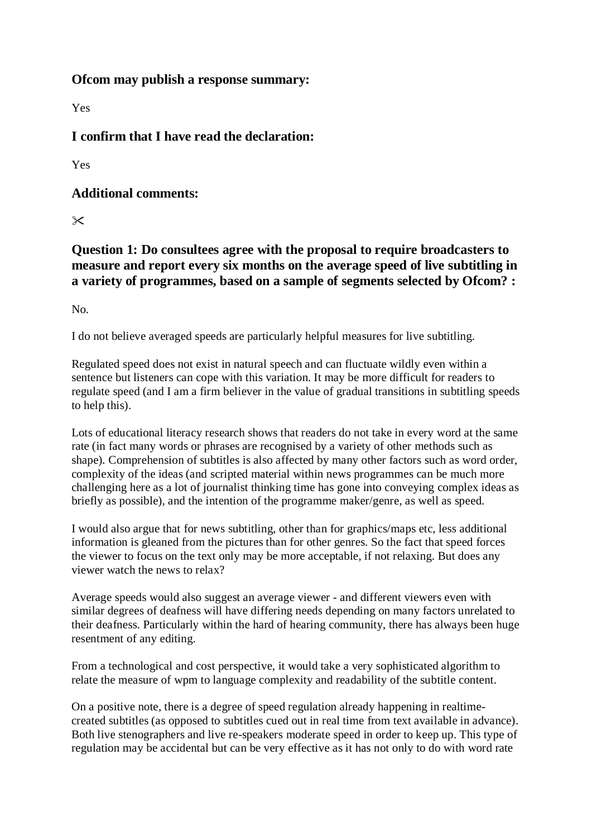#### **Ofcom may publish a response summary:**

Yes

**I confirm that I have read the declaration:**

Yes

**Additional comments:**

 $\propto$ 

**Question 1: Do consultees agree with the proposal to require broadcasters to measure and report every six months on the average speed of live subtitling in a variety of programmes, based on a sample of segments selected by Ofcom? :**

No.

I do not believe averaged speeds are particularly helpful measures for live subtitling.

Regulated speed does not exist in natural speech and can fluctuate wildly even within a sentence but listeners can cope with this variation. It may be more difficult for readers to regulate speed (and I am a firm believer in the value of gradual transitions in subtitling speeds to help this).

Lots of educational literacy research shows that readers do not take in every word at the same rate (in fact many words or phrases are recognised by a variety of other methods such as shape). Comprehension of subtitles is also affected by many other factors such as word order, complexity of the ideas (and scripted material within news programmes can be much more challenging here as a lot of journalist thinking time has gone into conveying complex ideas as briefly as possible), and the intention of the programme maker/genre, as well as speed.

I would also argue that for news subtitling, other than for graphics/maps etc, less additional information is gleaned from the pictures than for other genres. So the fact that speed forces the viewer to focus on the text only may be more acceptable, if not relaxing. But does any viewer watch the news to relax?

Average speeds would also suggest an average viewer - and different viewers even with similar degrees of deafness will have differing needs depending on many factors unrelated to their deafness. Particularly within the hard of hearing community, there has always been huge resentment of any editing.

From a technological and cost perspective, it would take a very sophisticated algorithm to relate the measure of wpm to language complexity and readability of the subtitle content.

On a positive note, there is a degree of speed regulation already happening in realtimecreated subtitles (as opposed to subtitles cued out in real time from text available in advance). Both live stenographers and live re-speakers moderate speed in order to keep up. This type of regulation may be accidental but can be very effective as it has not only to do with word rate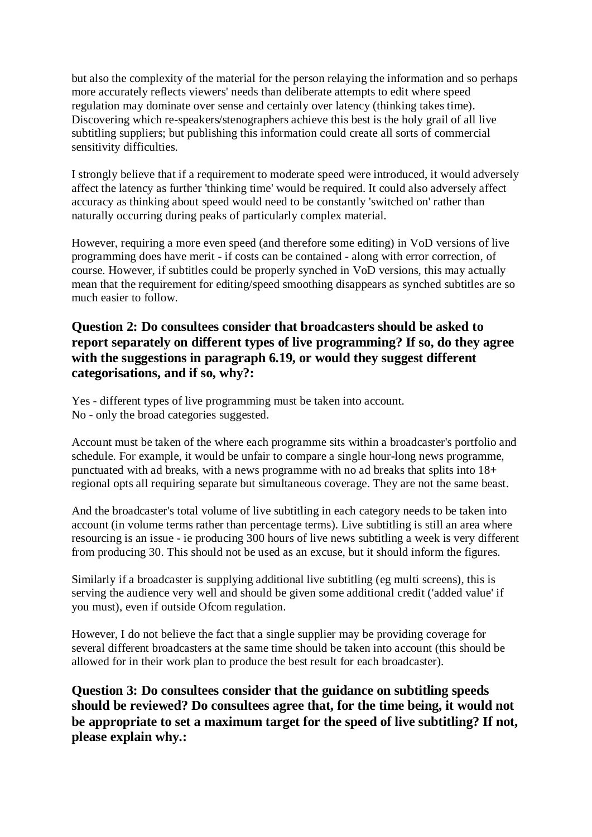but also the complexity of the material for the person relaying the information and so perhaps more accurately reflects viewers' needs than deliberate attempts to edit where speed regulation may dominate over sense and certainly over latency (thinking takes time). Discovering which re-speakers/stenographers achieve this best is the holy grail of all live subtitling suppliers; but publishing this information could create all sorts of commercial sensitivity difficulties.

I strongly believe that if a requirement to moderate speed were introduced, it would adversely affect the latency as further 'thinking time' would be required. It could also adversely affect accuracy as thinking about speed would need to be constantly 'switched on' rather than naturally occurring during peaks of particularly complex material.

However, requiring a more even speed (and therefore some editing) in VoD versions of live programming does have merit - if costs can be contained - along with error correction, of course. However, if subtitles could be properly synched in VoD versions, this may actually mean that the requirement for editing/speed smoothing disappears as synched subtitles are so much easier to follow.

## **Question 2: Do consultees consider that broadcasters should be asked to report separately on different types of live programming? If so, do they agree with the suggestions in paragraph 6.19, or would they suggest different categorisations, and if so, why?:**

Yes - different types of live programming must be taken into account. No - only the broad categories suggested.

Account must be taken of the where each programme sits within a broadcaster's portfolio and schedule. For example, it would be unfair to compare a single hour-long news programme, punctuated with ad breaks, with a news programme with no ad breaks that splits into 18+ regional opts all requiring separate but simultaneous coverage. They are not the same beast.

And the broadcaster's total volume of live subtitling in each category needs to be taken into account (in volume terms rather than percentage terms). Live subtitling is still an area where resourcing is an issue - ie producing 300 hours of live news subtitling a week is very different from producing 30. This should not be used as an excuse, but it should inform the figures.

Similarly if a broadcaster is supplying additional live subtitling (eg multi screens), this is serving the audience very well and should be given some additional credit ('added value' if you must), even if outside Ofcom regulation.

However, I do not believe the fact that a single supplier may be providing coverage for several different broadcasters at the same time should be taken into account (this should be allowed for in their work plan to produce the best result for each broadcaster).

**Question 3: Do consultees consider that the guidance on subtitling speeds should be reviewed? Do consultees agree that, for the time being, it would not be appropriate to set a maximum target for the speed of live subtitling? If not, please explain why.:**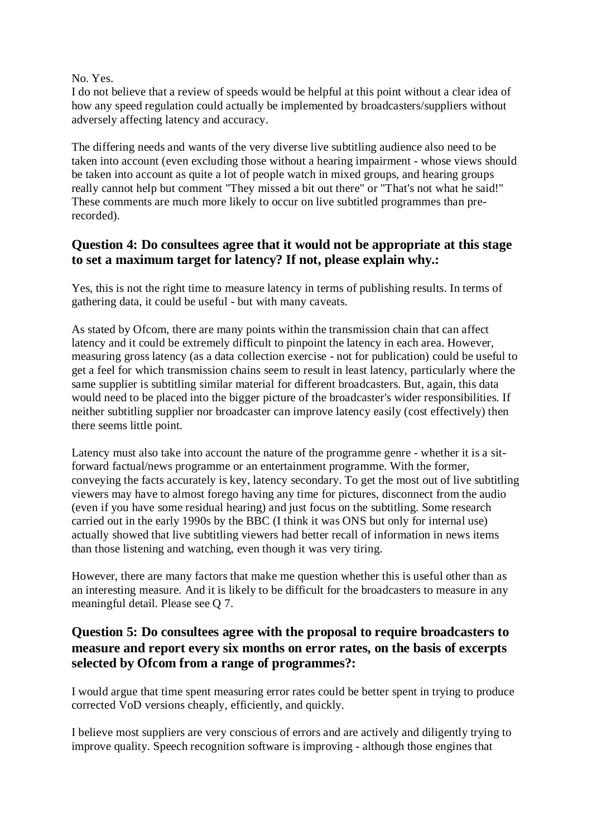#### No. Yes.

I do not believe that a review of speeds would be helpful at this point without a clear idea of how any speed regulation could actually be implemented by broadcasters/suppliers without adversely affecting latency and accuracy.

The differing needs and wants of the very diverse live subtitling audience also need to be taken into account (even excluding those without a hearing impairment - whose views should be taken into account as quite a lot of people watch in mixed groups, and hearing groups really cannot help but comment "They missed a bit out there" or "That's not what he said!" These comments are much more likely to occur on live subtitled programmes than prerecorded).

## **Question 4: Do consultees agree that it would not be appropriate at this stage to set a maximum target for latency? If not, please explain why.:**

Yes, this is not the right time to measure latency in terms of publishing results. In terms of gathering data, it could be useful - but with many caveats.

As stated by Ofcom, there are many points within the transmission chain that can affect latency and it could be extremely difficult to pinpoint the latency in each area. However, measuring gross latency (as a data collection exercise - not for publication) could be useful to get a feel for which transmission chains seem to result in least latency, particularly where the same supplier is subtitling similar material for different broadcasters. But, again, this data would need to be placed into the bigger picture of the broadcaster's wider responsibilities. If neither subtitling supplier nor broadcaster can improve latency easily (cost effectively) then there seems little point.

Latency must also take into account the nature of the programme genre - whether it is a sitforward factual/news programme or an entertainment programme. With the former, conveying the facts accurately is key, latency secondary. To get the most out of live subtitling viewers may have to almost forego having any time for pictures, disconnect from the audio (even if you have some residual hearing) and just focus on the subtitling. Some research carried out in the early 1990s by the BBC (I think it was ONS but only for internal use) actually showed that live subtitling viewers had better recall of information in news items than those listening and watching, even though it was very tiring.

However, there are many factors that make me question whether this is useful other than as an interesting measure. And it is likely to be difficult for the broadcasters to measure in any meaningful detail. Please see Q 7.

## **Question 5: Do consultees agree with the proposal to require broadcasters to measure and report every six months on error rates, on the basis of excerpts selected by Ofcom from a range of programmes?:**

I would argue that time spent measuring error rates could be better spent in trying to produce corrected VoD versions cheaply, efficiently, and quickly.

I believe most suppliers are very conscious of errors and are actively and diligently trying to improve quality. Speech recognition software is improving - although those engines that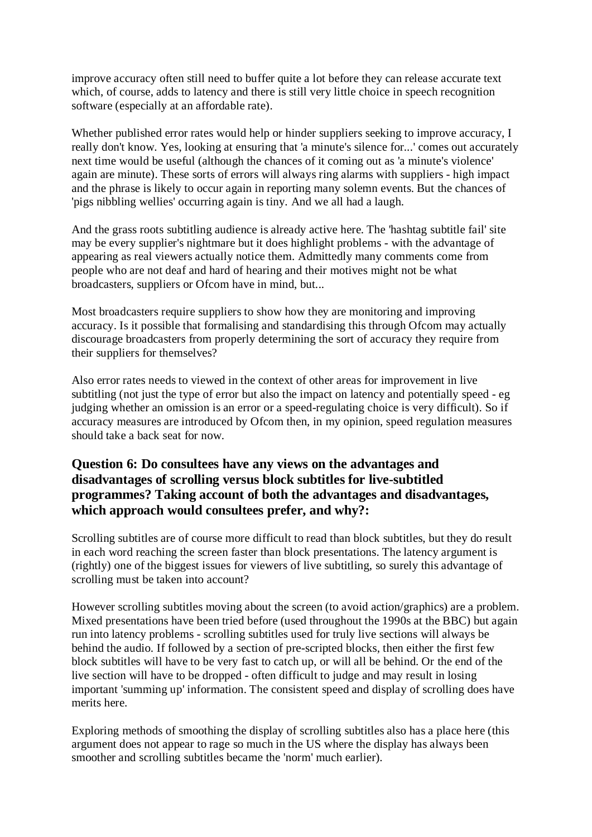improve accuracy often still need to buffer quite a lot before they can release accurate text which, of course, adds to latency and there is still very little choice in speech recognition software (especially at an affordable rate).

Whether published error rates would help or hinder suppliers seeking to improve accuracy, I really don't know. Yes, looking at ensuring that 'a minute's silence for...' comes out accurately next time would be useful (although the chances of it coming out as 'a minute's violence' again are minute). These sorts of errors will always ring alarms with suppliers - high impact and the phrase is likely to occur again in reporting many solemn events. But the chances of 'pigs nibbling wellies' occurring again is tiny. And we all had a laugh.

And the grass roots subtitling audience is already active here. The 'hashtag subtitle fail' site may be every supplier's nightmare but it does highlight problems - with the advantage of appearing as real viewers actually notice them. Admittedly many comments come from people who are not deaf and hard of hearing and their motives might not be what broadcasters, suppliers or Ofcom have in mind, but...

Most broadcasters require suppliers to show how they are monitoring and improving accuracy. Is it possible that formalising and standardising this through Ofcom may actually discourage broadcasters from properly determining the sort of accuracy they require from their suppliers for themselves?

Also error rates needs to viewed in the context of other areas for improvement in live subtitling (not just the type of error but also the impact on latency and potentially speed - eg judging whether an omission is an error or a speed-regulating choice is very difficult). So if accuracy measures are introduced by Ofcom then, in my opinion, speed regulation measures should take a back seat for now.

# **Question 6: Do consultees have any views on the advantages and disadvantages of scrolling versus block subtitles for live-subtitled programmes? Taking account of both the advantages and disadvantages, which approach would consultees prefer, and why?:**

Scrolling subtitles are of course more difficult to read than block subtitles, but they do result in each word reaching the screen faster than block presentations. The latency argument is (rightly) one of the biggest issues for viewers of live subtitling, so surely this advantage of scrolling must be taken into account?

However scrolling subtitles moving about the screen (to avoid action/graphics) are a problem. Mixed presentations have been tried before (used throughout the 1990s at the BBC) but again run into latency problems - scrolling subtitles used for truly live sections will always be behind the audio. If followed by a section of pre-scripted blocks, then either the first few block subtitles will have to be very fast to catch up, or will all be behind. Or the end of the live section will have to be dropped - often difficult to judge and may result in losing important 'summing up' information. The consistent speed and display of scrolling does have merits here.

Exploring methods of smoothing the display of scrolling subtitles also has a place here (this argument does not appear to rage so much in the US where the display has always been smoother and scrolling subtitles became the 'norm' much earlier).